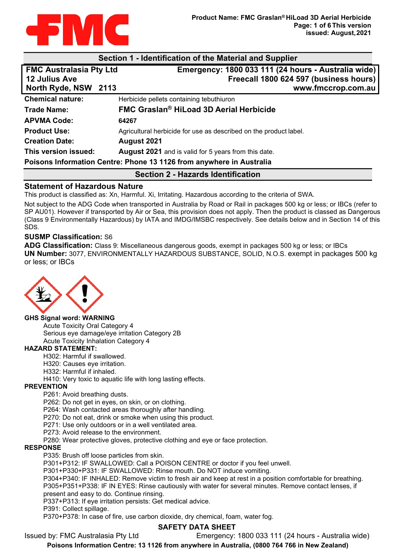

| Section 1 - Identification of the Material and Supplier              |  |                                                                   |  |  |
|----------------------------------------------------------------------|--|-------------------------------------------------------------------|--|--|
| <b>FMC Australasia Pty Ltd</b>                                       |  | Emergency: 1800 033 111 (24 hours - Australia wide)               |  |  |
| <b>12 Julius Ave</b>                                                 |  | Freecall 1800 624 597 (business hours)                            |  |  |
| North Ryde, NSW 2113                                                 |  | www.fmccrop.com.au                                                |  |  |
| <b>Chemical nature:</b>                                              |  | Herbicide pellets containing tebuthiuron                          |  |  |
| <b>Trade Name:</b>                                                   |  | <b>FMC Graslan<sup>®</sup> HiLoad 3D Aerial Herbicide</b>         |  |  |
| <b>APVMA Code:</b>                                                   |  | 64267                                                             |  |  |
| <b>Product Use:</b>                                                  |  | Agricultural herbicide for use as described on the product label. |  |  |
| <b>Creation Date:</b>                                                |  | August 2021                                                       |  |  |
| This version issued:                                                 |  | <b>August 2021</b> and is valid for 5 years from this date.       |  |  |
| Poisons Information Centre: Phone 13 1126 from anywhere in Australia |  |                                                                   |  |  |
| Section 2 - Hazards Identification                                   |  |                                                                   |  |  |

# **Statement of Hazardous Nature**

This product is classified as: Xn, Harmful. Xi, Irritating. Hazardous according to the criteria of SWA.

Not subject to the ADG Code when transported in Australia by Road or Rail in packages 500 kg or less; or IBCs (refer to SP AU01). However if transported by Air or Sea, this provision does not apply. Then the product is classed as Dangerous (Class 9 Environmentally Hazardous) by IATA and IMDG/IMSBC respectively. See details below and in Section 14 of this SDS.

### **SUSMP Classification:** S6

**ADG Classification:** Class 9: Miscellaneous dangerous goods, exempt in packages 500 kg or less; or IBCs **UN Number:** 3077, ENVIRONMENTALLY HAZARDOUS SUBSTANCE, SOLID, N.O.S. exempt in packages 500 kg or less; or IBCs



#### **GHS Signal word: WARNING**

Acute Toxicity Oral Category 4 Serious eye damage/eye irritation Category 2B Acute Toxicity Inhalation Category 4

#### **HAZARD STATEMENT:**

H302: Harmful if swallowed.

H320: Causes eye irritation.

H332: Harmful if inhaled.

H410: Very toxic to aquatic life with long lasting effects.

#### **PREVENTION**

P261: Avoid breathing dusts.

P262: Do not get in eyes, on skin, or on clothing.

P264: Wash contacted areas thoroughly after handling.

P270: Do not eat, drink or smoke when using this product.

P271: Use only outdoors or in a well ventilated area.

P273: Avoid release to the environment.

P280: Wear protective gloves, protective clothing and eye or face protection.

#### **RESPONSE**

P335: Brush off loose particles from skin.

P301+P312: IF SWALLOWED: Call a POISON CENTRE or doctor if you feel unwell.

P301+P330+P331: IF SWALLOWED: Rinse mouth. Do NOT induce vomiting.

P304+P340: IF INHALED: Remove victim to fresh air and keep at rest in a position comfortable for breathing. P305+P351+P338: IF IN EYES: Rinse cautiously with water for several minutes. Remove contact lenses, if present and easy to do. Continue rinsing.

P337+P313: If eye irritation persists: Get medical advice.

P391: Collect spillage.

P370+P378: In case of fire, use carbon dioxide, dry chemical, foam, water fog.

# **SAFETY DATA SHEET**

Issued by: FMC Australasia Pty Ltd Emergency: 1800 033 111 (24 hours - Australia wide)

**Poisons Information Centre: 13 1126 from anywhere in Australia, (0800 764 766 in New Zealand)**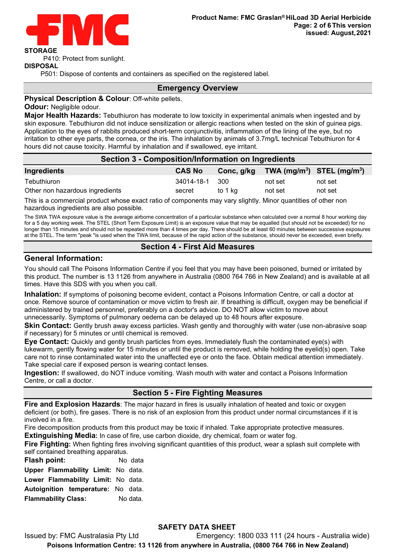

P410: Protect from sunlight.

#### **DISPOSAL**

P501: Dispose of contents and containers as specified on the registered label.

#### **Emergency Overview**

#### **Physical Description & Colour**: Off-white pellets.

**Odour:** Negligible odour.

**Major Health Hazards:** Tebuthiuron has moderate to low toxicity in experimental animals when ingested and by skin exposure. Tebuthiuron did not induce sensitization or allergic reactions when tested on the skin of guinea pigs. Application to the eyes of rabbits produced short-term conjunctivitis, inflammation of the lining of the eye, but no irritation to other eye parts, the cornea, or the iris. The inhalation by animals of 3.7mg/L technical Tebuthiuron for 4 hours did not cause toxicity. Harmful by inhalation and if swallowed, eye irritant.

| Section 3 - Composition/Information on Ingredients |               |            |                                |         |  |
|----------------------------------------------------|---------------|------------|--------------------------------|---------|--|
| Ingredients                                        | <b>CAS No</b> | Conc, g/kg | TWA $(mg/m^3)$ STEL $(mg/m^3)$ |         |  |
| Tebuthiuron                                        | 34014-18-1    | -300       | not set                        | not set |  |
| Other non hazardous ingredients                    | secret        | to 1 ka    | not set                        | not set |  |

This is a commercial product whose exact ratio of components may vary slightly. Minor quantities of other non hazardous ingredients are also possible.

The SWA TWA exposure value is the average airborne concentration of a particular substance when calculated over a normal 8 hour working day for a 5 day working week. The STEL (Short Term Exposure Limit) is an exposure value that may be equalled (but should not be exceeded) for no longer than 15 minutes and should not be repeated more than 4 times per day. There should be at least 60 minutes between successive exposures at the STEL. The term "peak "is used when the TWA limit, because of the rapid action of the substance, should never be exceeded, even briefly.

### **Section 4 - First Aid Measures**

## **General Information:**

You should call The Poisons Information Centre if you feel that you may have been poisoned, burned or irritated by this product. The number is 13 1126 from anywhere in Australia (0800 764 766 in New Zealand) and is available at all times. Have this SDS with you when you call.

**Inhalation:** If symptoms of poisoning become evident, contact a Poisons Information Centre, or call a doctor at once. Remove source of contamination or move victim to fresh air. If breathing is difficult, oxygen may be beneficial if administered by trained personnel, preferably on a doctor's advice. DO NOT allow victim to move about unnecessarily. Symptoms of pulmonary oedema can be delayed up to 48 hours after exposure.

**Skin Contact:** Gently brush away excess particles. Wash gently and thoroughly with water (use non-abrasive soap if necessary) for 5 minutes or until chemical is removed.

**Eye Contact:** Quickly and gently brush particles from eyes. Immediately flush the contaminated eye(s) with lukewarm, gently flowing water for 15 minutes or until the product is removed, while holding the eyelid(s) open. Take care not to rinse contaminated water into the unaffected eye or onto the face. Obtain medical attention immediately. Take special care if exposed person is wearing contact lenses.

**Ingestion:** If swallowed, do NOT induce vomiting. Wash mouth with water and contact a Poisons Information Centre, or call a doctor.

# **Section 5 - Fire Fighting Measures**

**Fire and Explosion Hazards**: The major hazard in fires is usually inhalation of heated and toxic or oxygen deficient (or both), fire gases. There is no risk of an explosion from this product under normal circumstances if it is involved in a fire.

Fire decomposition products from this product may be toxic if inhaled. Take appropriate protective measures.

**Extinguishing Media:** In case of fire, use carbon dioxide, dry chemical, foam or water fog.

**Fire Fighting:** When fighting fires involving significant quantities of this product, wear a splash suit complete with self contained breathing apparatus.

**Flash point:** No data

**Upper Flammability Limit:** No data.

**Lower Flammability Limit:** No data.

**Autoignition temperature:** No data.

**Flammability Class:** No data.

# **SAFETY DATA SHEET**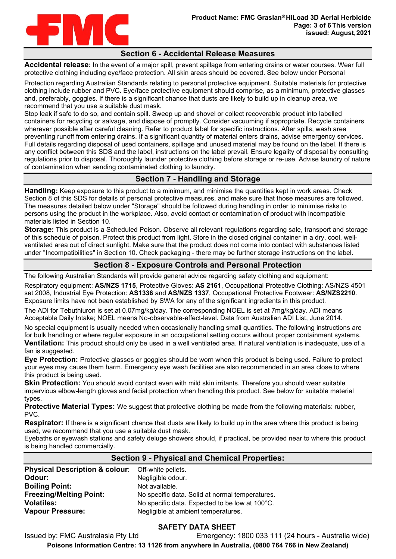

### **Section 6 - Accidental Release Measures**

**Accidental release:** In the event of a major spill, prevent spillage from entering drains or water courses. Wear full protective clothing including eye/face protection. All skin areas should be covered. See below under Personal

Protection regarding Australian Standards relating to personal protective equipment. Suitable materials for protective clothing include rubber and PVC. Eye/face protective equipment should comprise, as a minimum, protective glasses and, preferably, goggles. If there is a significant chance that dusts are likely to build up in cleanup area, we recommend that you use a suitable dust mask.

Stop leak if safe to do so, and contain spill. Sweep up and shovel or collect recoverable product into labelled containers for recycling or salvage, and dispose of promptly. Consider vacuuming if appropriate. Recycle containers wherever possible after careful cleaning. Refer to product label for specific instructions. After spills, wash area preventing runoff from entering drains. If a significant quantity of material enters drains, advise emergency services. Full details regarding disposal of used containers, spillage and unused material may be found on the label. If there is any conflict between this SDS and the label, instructions on the label prevail. Ensure legality of disposal by consulting regulations prior to disposal. Thoroughly launder protective clothing before storage or re-use. Advise laundry of nature of contamination when sending contaminated clothing to laundry.

# **Section 7 - Handling and Storage**

**Handling:** Keep exposure to this product to a minimum, and minimise the quantities kept in work areas. Check Section 8 of this SDS for details of personal protective measures, and make sure that those measures are followed. The measures detailed below under "Storage" should be followed during handling in order to minimise risks to persons using the product in the workplace. Also, avoid contact or contamination of product with incompatible materials listed in Section 10.

**Storage:** This product is a Scheduled Poison. Observe all relevant regulations regarding sale, transport and storage of this schedule of poison. Protect this product from light. Store in the closed original container in a dry, cool, wellventilated area out of direct sunlight. Make sure that the product does not come into contact with substances listed under "Incompatibilities" in Section 10. Check packaging - there may be further storage instructions on the label.

# **Section 8 - Exposure Controls and Personal Protection**

The following Australian Standards will provide general advice regarding safety clothing and equipment:

Respiratory equipment: **AS/NZS 1715**, Protective Gloves: **AS 2161**, Occupational Protective Clothing: AS/NZS 4501 set 2008, Industrial Eye Protection: **AS1336** and **AS/NZS 1337**, Occupational Protective Footwear: **AS/NZS2210**. Exposure limits have not been established by SWA for any of the significant ingredients in this product.

The ADI for Tebuthiuron is set at 0.07mg/kg/day. The corresponding NOEL is set at 7mg/kg/day. ADI means Acceptable Daily Intake; NOEL means No-observable-effect-level. Data from Australian ADI List, June 2014.

No special equipment is usually needed when occasionally handling small quantities. The following instructions are for bulk handling or where regular exposure in an occupational setting occurs without proper containment systems. **Ventilation:** This product should only be used in a well ventilated area. If natural ventilation is inadequate, use of a fan is suggested.

**Eye Protection:** Protective glasses or goggles should be worn when this product is being used. Failure to protect your eyes may cause them harm. Emergency eye wash facilities are also recommended in an area close to where this product is being used.

**Skin Protection:** You should avoid contact even with mild skin irritants. Therefore you should wear suitable impervious elbow-length gloves and facial protection when handling this product. See below for suitable material types.

**Protective Material Types:** We suggest that protective clothing be made from the following materials: rubber, PVC.

**Respirator:** If there is a significant chance that dusts are likely to build up in the area where this product is being used, we recommend that you use a suitable dust mask.

Eyebaths or eyewash stations and safety deluge showers should, if practical, be provided near to where this product is being handled commercially.

| <b>Section 9 - Physical and Chemical Properties:</b> |                                                 |  |
|------------------------------------------------------|-------------------------------------------------|--|
| <b>Physical Description &amp; colour:</b>            | Off-white pellets.                              |  |
| Odour:                                               | Negligible odour.                               |  |
| <b>Boiling Point:</b>                                | Not available.                                  |  |
| <b>Freezing/Melting Point:</b>                       | No specific data. Solid at normal temperatures. |  |
| <b>Volatiles:</b>                                    | No specific data. Expected to be low at 100°C.  |  |
| <b>Vapour Pressure:</b>                              | Negligible at ambient temperatures.             |  |

## **SAFETY DATA SHEET**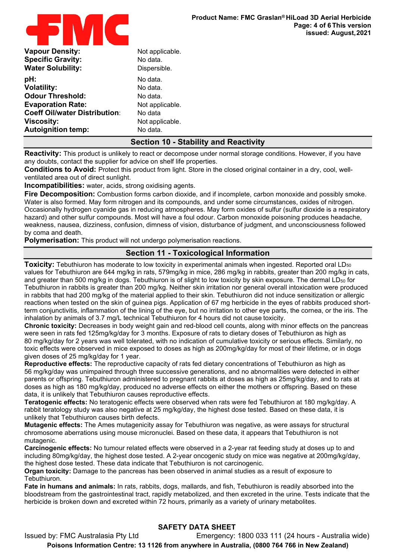

| <b>Vapour Density:</b>               | Not applicable. |
|--------------------------------------|-----------------|
| <b>Specific Gravity:</b>             | No data.        |
| <b>Water Solubility:</b>             | Dispersible.    |
| pH:                                  | No data.        |
| <b>Volatility:</b>                   | No data.        |
| <b>Odour Threshold:</b>              | No data.        |
| <b>Evaporation Rate:</b>             | Not applicable. |
| <b>Coeff Oil/water Distribution:</b> | No data         |
| <b>Viscosity:</b>                    | Not applicable. |
| <b>Autoignition temp:</b>            | No data.        |
|                                      |                 |

# **Section 10 - Stability and Reactivity**

**Reactivity:** This product is unlikely to react or decompose under normal storage conditions. However, if you have any doubts, contact the supplier for advice on shelf life properties.

**Conditions to Avoid:** Protect this product from light. Store in the closed original container in a dry, cool, wellventilated area out of direct sunlight.

**Incompatibilities:** water, acids, strong oxidising agents.

**Fire Decomposition:** Combustion forms carbon dioxide, and if incomplete, carbon monoxide and possibly smoke. Water is also formed. May form nitrogen and its compounds, and under some circumstances, oxides of nitrogen. Occasionally hydrogen cyanide gas in reducing atmospheres. May form oxides of sulfur (sulfur dioxide is a respiratory hazard) and other sulfur compounds. Most will have a foul odour. Carbon monoxide poisoning produces headache, weakness, nausea, dizziness, confusion, dimness of vision, disturbance of judgment, and unconsciousness followed by coma and death.

**Polymerisation:** This product will not undergo polymerisation reactions.

## **Section 11 - Toxicological Information**

**Toxicity:** Tebuthiuron has moderate to low toxicity in experimental animals when ingested. Reported oral LD<sub>50</sub> values for Tebuthiuron are 644 mg/kg in rats, 579mg/kg in mice, 286 mg/kg in rabbits, greater than 200 mg/kg in cats, and greater than 500 mg/kg in dogs. Tebuthiuron is of slight to low toxicity by skin exposure. The dermal LD<sub>50</sub> for Tebuthiuron in rabbits is greater than 200 mg/kg. Neither skin irritation nor general overall intoxication were produced in rabbits that had 200 mg/kg of the material applied to their skin. Tebuthiuron did not induce sensitization or allergic reactions when tested on the skin of guinea pigs. Application of 67 mg herbicide in the eyes of rabbits produced shortterm conjunctivitis, inflammation of the lining of the eye, but no irritation to other eye parts, the cornea, or the iris. The inhalation by animals of 3.7 mg/L technical Tebuthiuron for 4 hours did not cause toxicity.

**Chronic toxicity:** Decreases in body weight gain and red-blood cell counts, along with minor effects on the pancreas were seen in rats fed 125mg/kg/day for 3 months. Exposure of rats to dietary doses of Tebuthiuron as high as 80 mg/kg/day for 2 years was well tolerated, with no indication of cumulative toxicity or serious effects. Similarly, no toxic effects were observed in mice exposed to doses as high as 200mg/kg/day for most of their lifetime, or in dogs given doses of 25 mg/kg/day for 1 year.

**Reproductive effects:** The reproductive capacity of rats fed dietary concentrations of Tebuthiuron as high as 56 mg/kg/day was unimpaired through three successive generations, and no abnormalities were detected in either parents or offspring. Tebuthiuron administered to pregnant rabbits at doses as high as 25mg/kg/day, and to rats at doses as high as 180 mg/kg/day, produced no adverse effects on either the mothers or offspring. Based on these data, it is unlikely that Tebuthiuron causes reproductive effects.

**Teratogenic effects:** No teratogenic effects were observed when rats were fed Tebuthiuron at 180 mg/kg/day. A rabbit teratology study was also negative at 25 mg/kg/day, the highest dose tested. Based on these data, it is unlikely that Tebuthiuron causes birth defects.

**Mutagenic effects:** The Ames mutagenicity assay for Tebuthiuron was negative, as were assays for structural chromosome aberrations using mouse micronuclei. Based on these data, it appears that Tebuthiuron is not mutagenic.

**Carcinogenic effects:** No tumour related effects were observed in a 2-year rat feeding study at doses up to and including 80mg/kg/day, the highest dose tested. A 2-year oncogenic study on mice was negative at 200mg/kg/day, the highest dose tested. These data indicate that Tebuthiuron is not carcinogenic.

**Organ toxicity:** Damage to the pancreas has been observed in animal studies as a result of exposure to Tebuthiuron.

**Fate in humans and animals:** In rats, rabbits, dogs, mallards, and fish, Tebuthiuron is readily absorbed into the bloodstream from the gastrointestinal tract, rapidly metabolized, and then excreted in the urine. Tests indicate that the herbicide is broken down and excreted within 72 hours, primarily as a variety of urinary metabolites.

# **SAFETY DATA SHEET**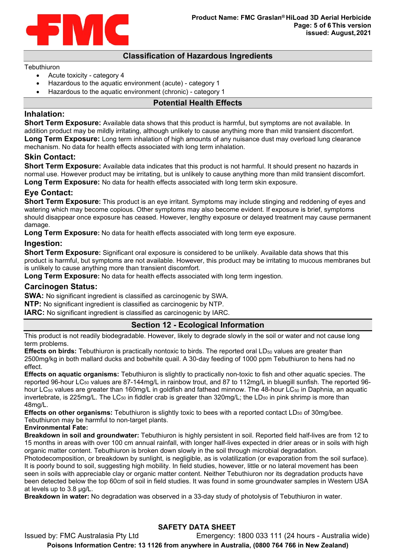

## **Classification of Hazardous Ingredients**

### **Tebuthiuron**

- Acute toxicity category 4
- Hazardous to the aquatic environment (acute) category 1
- Hazardous to the aquatic environment (chronic) category 1

## **Potential Health Effects**

## **Inhalation:**

**Short Term Exposure:** Available data shows that this product is harmful, but symptoms are not available. In addition product may be mildly irritating, although unlikely to cause anything more than mild transient discomfort. **Long Term Exposure:** Long term inhalation of high amounts of any nuisance dust may overload lung clearance mechanism. No data for health effects associated with long term inhalation.

## **Skin Contact:**

**Short Term Exposure:** Available data indicates that this product is not harmful. It should present no hazards in normal use. However product may be irritating, but is unlikely to cause anything more than mild transient discomfort. **Long Term Exposure:** No data for health effects associated with long term skin exposure.

# **Eye Contact:**

**Short Term Exposure:** This product is an eye irritant. Symptoms may include stinging and reddening of eyes and watering which may become copious. Other symptoms may also become evident. If exposure is brief, symptoms should disappear once exposure has ceased. However, lengthy exposure or delayed treatment may cause permanent damage.

**Long Term Exposure:** No data for health effects associated with long term eye exposure.

# **Ingestion:**

**Short Term Exposure:** Significant oral exposure is considered to be unlikely. Available data shows that this product is harmful, but symptoms are not available. However, this product may be irritating to mucous membranes but is unlikely to cause anything more than transient discomfort.

**Long Term Exposure:** No data for health effects associated with long term ingestion.

# **Carcinogen Status:**

**SWA:** No significant ingredient is classified as carcinogenic by SWA.

**NTP:** No significant ingredient is classified as carcinogenic by NTP.

**IARC:** No significant ingredient is classified as carcinogenic by IARC.

# **Section 12 - Ecological Information**

This product is not readily biodegradable. However, likely to degrade slowly in the soil or water and not cause long term problems.

**Effects on birds:** Tebuthiuron is practically nontoxic to birds. The reported oral LD<sub>50</sub> values are greater than 2500mg/kg in both mallard ducks and bobwhite quail. A 30-day feeding of 1000 ppm Tebuthiuron to hens had no effect.

**Effects on aquatic organisms:** Tebuthiuron is slightly to practically non-toxic to fish and other aquatic species. The reported 96-hour LC50 values are 87-144mg/L in rainbow trout, and 87 to 112mg/L in bluegill sunfish. The reported 96 hour LC<sub>50</sub> values are greater than 160mg/L in goldfish and fathead minnow. The 48-hour LC<sub>50</sub> in Daphnia, an aquatic invertebrate, is 225mg/L. The LC<sub>50</sub> in fiddler crab is greater than 320mg/L; the LD<sub>50</sub> in pink shrimp is more than 48mg/L.

**Effects on other organisms:** Tebuthiuron is slightly toxic to bees with a reported contact LD<sub>50</sub> of 30mg/bee. Tebuthiuron may be harmful to non-target plants.

## **Environmental Fate:**

**Breakdown in soil and groundwater:** Tebuthiuron is highly persistent in soil. Reported field half-lives are from 12 to 15 months in areas with over 100 cm annual rainfall, with longer half-lives expected in drier areas or in soils with high organic matter content. Tebuthiuron is broken down slowly in the soil through microbial degradation.

Photodecomposition, or breakdown by sunlight, is negligible, as is volatilization (or evaporation from the soil surface). It is poorly bound to soil, suggesting high mobility. In field studies, however, little or no lateral movement has been seen in soils with appreciable clay or organic matter content. Neither Tebuthiuron nor its degradation products have been detected below the top 60cm of soil in field studies. It was found in some groundwater samples in Western USA at levels up to 3.8 µg/L.

**Breakdown in water:** No degradation was observed in a 33-day study of photolysis of Tebuthiuron in water.

# **SAFETY DATA SHEET**